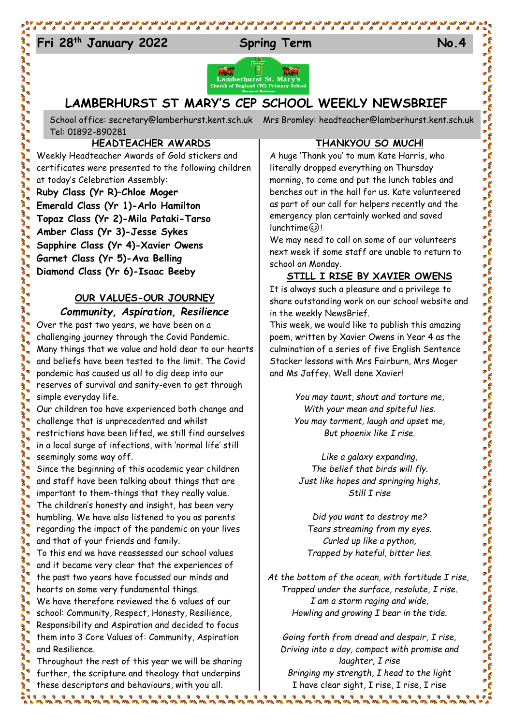## Fri 28<sup>th</sup> January 2022 Spring Term No.4



## **LAMBERHURST ST MARY'S CEP SCHOOL WEEKLY NEWSBRIEF**

School office: [secretary@lamberhurst.kent.sch.uk](mailto:secretary@lamberhurst.kent.sch.uk) Mrs Bromley: headteacher@lamberhurst.kent.sch.uk Tel: 01892-890281

## **HEADTEACHER AWARDS**

Weekly Headteacher Awards of Gold stickers and certificates were presented to the following children at today's Celebration Assembly:

**Ruby Class (Yr R)–Chloe Moger Emerald Class (Yr 1)-Arlo Hamilton Topaz Class (Yr 2)-Mila Pataki-Tarso Amber Class (Yr 3)-Jesse Sykes Sapphire Class (Yr 4)-Xavier Owens Garnet Class (Yr 5)-Ava Belling Diamond Class (Yr 6)-Isaac Beeby**

## **OUR VALUES-OUR JOURNEY** *Community, Aspiration, Resilience*

## Over the past two years, we have been on a challenging journey through the Covid Pandemic. Many things that we value and hold dear to our hearts and beliefs have been tested to the limit. The Covid pandemic has caused us all to dig deep into our reserves of survival and sanity-even to get through simple everyday life.

Our children too have experienced both change and challenge that is unprecedented and whilst restrictions have been lifted, we still find ourselves in a local surge of infections, with 'normal life' still seemingly some way off.

Since the beginning of this academic year children and staff have been talking about things that are important to them-things that they really value. The children's honesty and insight, has been very humbling. We have also listened to you as parents regarding the impact of the pandemic on your lives and that of your friends and family.

To this end we have reassessed our school values and it became very clear that the experiences of the past two years have focussed our minds and hearts on some very fundamental things.

We have therefore reviewed the 6 values of our school: Community, Respect, Honesty, Resilience, Responsibility and Aspiration and decided to focus them into 3 Core Values of: Community, Aspiration and Resilience.

Throughout the rest of this year we will be sharing further, the scripture and theology that underpins these descriptors and behaviours, with you all. 

#### **THANKYOU SO MUCH!**

A huge 'Thank you' to mum Kate Harris, who literally dropped everything on Thursday morning, to come and put the lunch tables and benches out in the hall for us. Kate volunteered as part of our call for helpers recently and the emergency plan certainly worked and saved  $l$ unchtime $\circledS$ !

We may need to call on some of our volunteers next week if some staff are unable to return to school on Monday.

## **STILL I RISE BY XAVIER OWENS**

It is always such a pleasure and a privilege to share outstanding work on our school website and in the weekly NewsBrief.

This week, we would like to publish this amazing poem, written by Xavier Owens in Year 4 as the culmination of a series of five English Sentence Stacker lessons with Mrs Fairburn, Mrs Moger and Ms Jaffey. Well done Xavier!

> *You may taunt, shout and torture me, With your mean and spiteful lies. You may torment, laugh and upset me, But phoenix like I rise.*

*Like a galaxy expanding, The belief that birds will fly. Just like hopes and springing highs, Still I rise*

*Did you want to destroy me? Tears streaming from my eyes. Curled up like a python, Trapped by hateful, bitter lies.*

*At the bottom of the ocean, with fortitude I rise, Trapped under the surface, resolute, I rise. I am a storm raging and wide, Howling and growing I bear in the tide.*

*Going forth from dread and despair, I rise, Driving into a day, compact with promise and laughter, I rise Bringing my strength, I head to the light* I have clear sight, I rise, I rise, I rise